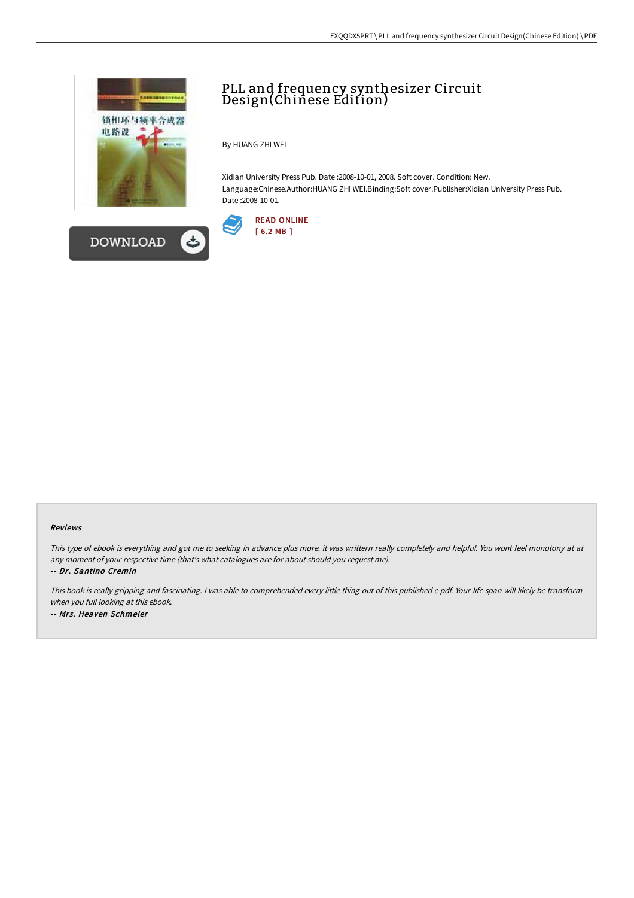



# PLL and frequency synthesizer Circuit Design(Chinese Edition)

By HUANG ZHI WEI

Xidian University Press Pub. Date :2008-10-01, 2008. Soft cover. Condition: New. Language:Chinese.Author:HUANG ZHI WEI.Binding:Soft cover.Publisher:Xidian University Press Pub. Date :2008-10-01.



#### Reviews

This type of ebook is everything and got me to seeking in advance plus more. it was writtern really completely and helpful. You wont feel monotony at at any moment of your respective time (that's what catalogues are for about should you request me).

-- Dr. Santino Cremin

This book is really gripping and fascinating. I was able to comprehended every little thing out of this published e pdf. Your life span will likely be transform when you full looking at this ebook. -- Mrs. Heaven Schmeler